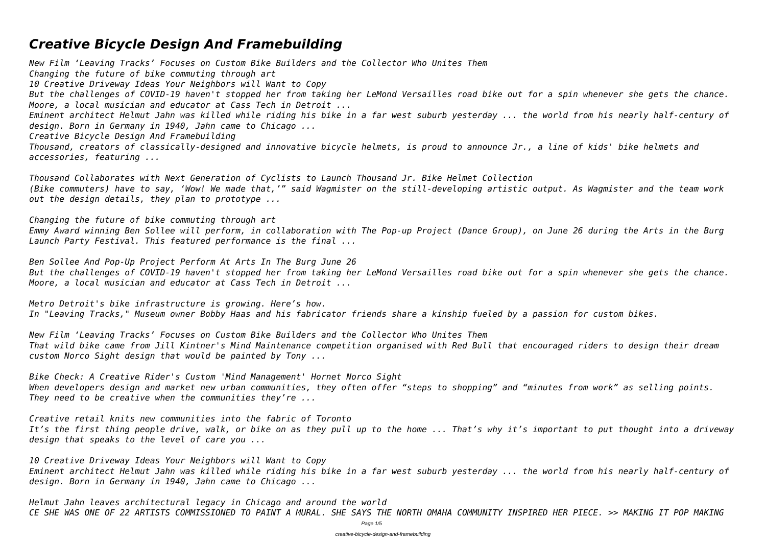# *Creative Bicycle Design And Framebuilding*

*New Film 'Leaving Tracks' Focuses on Custom Bike Builders and the Collector Who Unites Them Changing the future of bike commuting through art 10 Creative Driveway Ideas Your Neighbors will Want to Copy But the challenges of COVID-19 haven't stopped her from taking her LeMond Versailles road bike out for a spin whenever she gets the chance. Moore, a local musician and educator at Cass Tech in Detroit ... Eminent architect Helmut Jahn was killed while riding his bike in a far west suburb yesterday ... the world from his nearly half-century of design. Born in Germany in 1940, Jahn came to Chicago ... Creative Bicycle Design And Framebuilding Thousand, creators of classically-designed and innovative bicycle helmets, is proud to announce Jr., a line of kids' bike helmets and accessories, featuring ...*

*Thousand Collaborates with Next Generation of Cyclists to Launch Thousand Jr. Bike Helmet Collection (Bike commuters) have to say, 'Wow! We made that,'" said Wagmister on the still-developing artistic output. As Wagmister and the team work out the design details, they plan to prototype ...*

*Changing the future of bike commuting through art Emmy Award winning Ben Sollee will perform, in collaboration with The Pop-up Project (Dance Group), on June 26 during the Arts in the Burg Launch Party Festival. This featured performance is the final ...*

*Ben Sollee And Pop-Up Project Perform At Arts In The Burg June 26 But the challenges of COVID-19 haven't stopped her from taking her LeMond Versailles road bike out for a spin whenever she gets the chance. Moore, a local musician and educator at Cass Tech in Detroit ...*

*Metro Detroit's bike infrastructure is growing. Here's how. In "Leaving Tracks," Museum owner Bobby Haas and his fabricator friends share a kinship fueled by a passion for custom bikes.*

*New Film 'Leaving Tracks' Focuses on Custom Bike Builders and the Collector Who Unites Them That wild bike came from Jill Kintner's Mind Maintenance competition organised with Red Bull that encouraged riders to design their dream custom Norco Sight design that would be painted by Tony ...*

*Bike Check: A Creative Rider's Custom 'Mind Management' Hornet Norco Sight When developers design and market new urban communities, they often offer "steps to shopping" and "minutes from work" as selling points. They need to be creative when the communities they're ...*

*Creative retail knits new communities into the fabric of Toronto It's the first thing people drive, walk, or bike on as they pull up to the home ... That's why it's important to put thought into a driveway design that speaks to the level of care you ...*

*10 Creative Driveway Ideas Your Neighbors will Want to Copy Eminent architect Helmut Jahn was killed while riding his bike in a far west suburb yesterday ... the world from his nearly half-century of design. Born in Germany in 1940, Jahn came to Chicago ...*

*Helmut Jahn leaves architectural legacy in Chicago and around the world CE SHE WAS ONE OF 22 ARTISTS COMMISSIONED TO PAINT A MURAL. SHE SAYS THE NORTH OMAHA COMMUNITY INSPIRED HER PIECE. >> MAKING IT POP MAKING*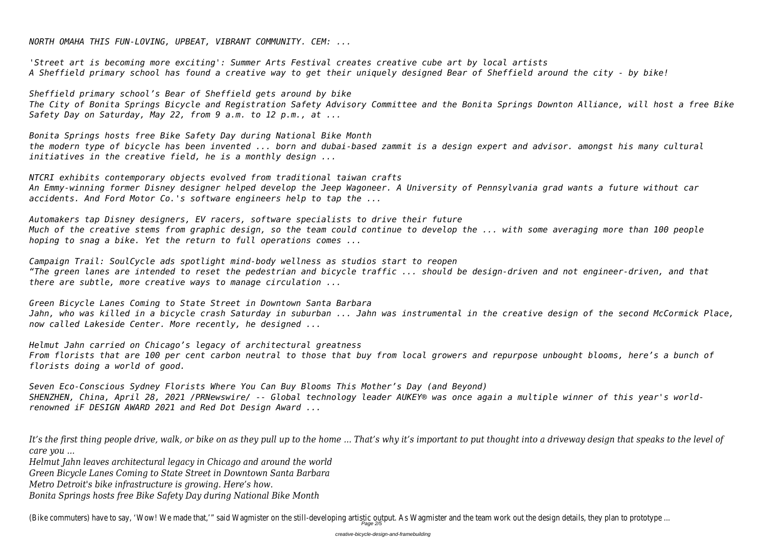*NORTH OMAHA THIS FUN-LOVING, UPBEAT, VIBRANT COMMUNITY. CEM: ...*

*'Street art is becoming more exciting': Summer Arts Festival creates creative cube art by local artists A Sheffield primary school has found a creative way to get their uniquely designed Bear of Sheffield around the city - by bike!*

*Sheffield primary school's Bear of Sheffield gets around by bike The City of Bonita Springs Bicycle and Registration Safety Advisory Committee and the Bonita Springs Downton Alliance, will host a free Bike Safety Day on Saturday, May 22, from 9 a.m. to 12 p.m., at ...*

*Bonita Springs hosts free Bike Safety Day during National Bike Month the modern type of bicycle has been invented ... born and dubai-based zammit is a design expert and advisor. amongst his many cultural initiatives in the creative field, he is a monthly design ...*

*NTCRI exhibits contemporary objects evolved from traditional taiwan crafts An Emmy-winning former Disney designer helped develop the Jeep Wagoneer. A University of Pennsylvania grad wants a future without car accidents. And Ford Motor Co.'s software engineers help to tap the ...*

*Automakers tap Disney designers, EV racers, software specialists to drive their future Much of the creative stems from graphic design, so the team could continue to develop the ... with some averaging more than 100 people hoping to snag a bike. Yet the return to full operations comes ...*

*Campaign Trail: SoulCycle ads spotlight mind-body wellness as studios start to reopen "The green lanes are intended to reset the pedestrian and bicycle traffic ... should be design-driven and not engineer-driven, and that there are subtle, more creative ways to manage circulation ...*

*Green Bicycle Lanes Coming to State Street in Downtown Santa Barbara Jahn, who was killed in a bicycle crash Saturday in suburban ... Jahn was instrumental in the creative design of the second McCormick Place, now called Lakeside Center. More recently, he designed ...*

*Helmut Jahn carried on Chicago's legacy of architectural greatness From florists that are 100 per cent carbon neutral to those that buy from local growers and repurpose unbought blooms, here's a bunch of florists doing a world of good.*

*Seven Eco-Conscious Sydney Florists Where You Can Buy Blooms This Mother's Day (and Beyond) SHENZHEN, China, April 28, 2021 /PRNewswire/ -- Global technology leader AUKEY® was once again a multiple winner of this year's worldrenowned iF DESIGN AWARD 2021 and Red Dot Design Award ...*

*It's the first thing people drive, walk, or bike on as they pull up to the home ... That's why it's important to put thought into a driveway design that speaks to the level of care you ...*

*Helmut Jahn leaves architectural legacy in Chicago and around the world*

*Green Bicycle Lanes Coming to State Street in Downtown Santa Barbara*

*Metro Detroit's bike infrastructure is growing. Here's how.*

*Bonita Springs hosts free Bike Safety Day during National Bike Month*

(Bike commuters) have to say, 'Wow! We made that,'" said Wagmister on the still-developing artistic output. As Wagmister and the team work out the c

- 
- 
- 
- 
- 
- 
- 
- 
- 
-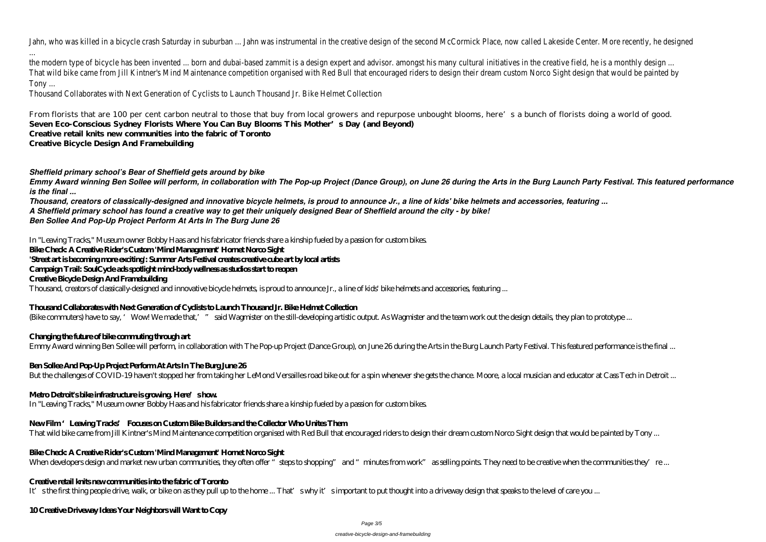Jahn, who was killed in a bicycle crash Saturday in suburban ... Jahn was instrumental in the creative design of the second McCormick Place, now called

... the modern type of bicycle has been invented ... born and dubai-based zammit is a design expert and advisor, amongst his many cultural initiatives in the That wild bike came from Jill Kintner's Mind Maintenance competition organised with Red Bull that encouraged riders to design their dream custom Nord Tony ...

From florists that are 100 per cent carbon neutral to those that buy from local growers and repurpose unbought blooms, here's a bunch of florists doing a world of good. **Seven Eco-Conscious Sydney Florists Where You Can Buy Blooms This Mother's Day (and Beyond)**

Thousand Collaborates with Next Generation of Cyclists to Launch Thousand Jr. Bike Helmet Collection

**Creative retail knits new communities into the fabric of Toronto**

**Creative Bicycle Design And Framebuilding**

#### *Sheffield primary school's Bear of Sheffield gets around by bike*

*Emmy Award winning Ben Sollee will perform, in collaboration with The Pop-up Project (Dance Group), on June 26 during the Arts in the Burg Launch Party Festival. This featured performance is the final ...*

*Thousand, creators of classically-designed and innovative bicycle helmets, is proud to announce Jr., a line of kids' bike helmets and accessories, featuring ... A Sheffield primary school has found a creative way to get their uniquely designed Bear of Sheffield around the city - by bike! Ben Sollee And Pop-Up Project Perform At Arts In The Burg June 26*

In "Leaving Tracks," Museum owner Bobby Haas and his fabricator friends share a kinship fueled by a passion for custom bikes.

#### **Bike Check: A Creative Rider's Custom 'Mind Management' Hornet Norco Sight**

'Street art is becoming more exciting: Summer Arts Festival creates creative cube art by local artists

**Campaign Trail: SoulCycle ads spotlight mind-body wellness as studios start to reopen**

#### **Creative Bicycle Design And Framebuilding**

Thousand, creators of classically-designed and innovative bicycle helmets, is proud to announce Jr., a line of kids' bike helmets and accessories, featuring ...

#### **Thousand Collaborates with Next Generation of Cyclists to Launch Thousand Jr. Bike Helmet Collection**

(Bike commuters) have to say, 'Wow! We made that,'" said Wagmister on the still-developing artistic output. As Wagmister and the team work out the design details, they plan to prototype ...

### **Changing the future of bike commuting through art**

Emmy Award winning Ben Sollee will perform, in collaboration with The Pop-up Project (Dance Group), on June 26 during the Arts in the Burg Launch Party Festival. This featured performance is the final ...

### **Ben Sollee And Pop-Up Project Perform At Arts In The Burg June 26**

But the challenges of COVID-19 haven't stopped her from taking her LeMond Versailles road bike out for a spin whenever she gets the chance. Moore, a local musician and educator at Cass Tech in Detroit ...

#### **Metro Detroit's bike infrastructure is growing. Here's how.**

In "Leaving Tracks," Museum owner Bobby Haas and his fabricator friends share a kinship fueled by a passion for custom bikes.

### New Film 'Leaving Tracks' Focuses on Custom Bike Builders and the Collector Who Unites Them

That wild bike came from Jill Kintner's Mind Maintenance competition organised with Red Bull that encouraged riders to design their dream custom Norco Sight design that would be painted by Tony ...

### **Bike Check: A Creative Rider's Custom 'Mind Management' Hornet Norco Sight**

When developers design and market new urban communities, they often offer "steps to shopping" and "minutes from work" as selling points. They need to be creative when the communities they're ...

#### **Creative retail knits new communities into the fabric of Toronto**

It's the first thing people drive, walk, or bike on as they pull up to the home ... That's why it's important to put thought into a driveway design that speaks to the level of care you ...

#### **10 Creative Driveway Ideas Your Neighbors will Want to Copy**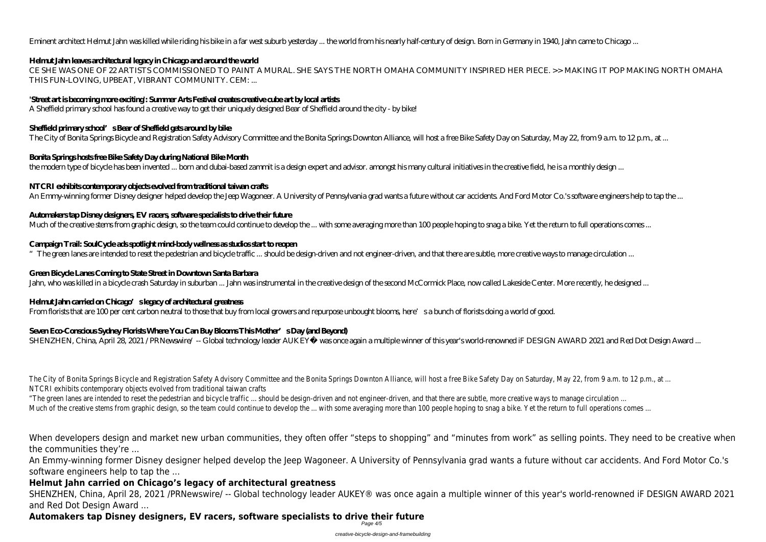Eminent architect Helmut Jahn was killed while riding his bike in a far west suburb yesterday ... the world from his nearly half-century of design. Born in Germany in 1940, Jahn came to Chicago ...

# **Helmut Jahn leaves architectural legacy in Chicago and around the world**

CE SHE WAS ONE OF 22 ARTISTS COMMISSIONED TO PAINT A MURAL. SHE SAYS THE NORTH OMAHA COMMUNITY INSPIRED HER PIECE. >> MAKING IT POP MAKING NORTH OMAHA THIS FUN-LOVING, UPBEAT, VIBRANT COMMUNITY. CEM: ...

# **'Street art is becoming more exciting': Summer Arts Festival creates creative cube art by local artists**

A Sheffield primary school has found a creative way to get their uniquely designed Bear of Sheffield around the city - by bike!

# **Sheffield primary school's Bear of Sheffield gets around by bike**

The City of Bonita Springs Bicycle and Registration Safety Advisory Committee and the Bonita Springs Downton Alliance, will host a free Bike Safety Day on Saturday, May 22, from 9 a.m. to 12 p.m., at ...

# **Bonita Springs hosts free Bike Safety Day during National Bike Month**

the modern type of bicycle has been invented ... born and dubai-based zammit is a design expert and advisor. amongst his many cultural initiatives in the creative field, he is a monthly design ...

# **NTCRI exhibits contemporary objects evolved from traditional taiwan crafts**

An Emmy-winning former Disney designer helped develop the Jeep Wagoneer. A University of Pennsylvania grad wants a future without car accidents. And Ford Motor Co.'s software engineers help to tap the ...

# **Automakers tap Disney designers, EV racers, software specialists to drive their future**

Much of the creative stems from graphic design, so the team could continue to develop the ... with some averaging more than 100 people hoping to snag a bike. Yet the return to full operations comes ...

The City of Bonita Springs Bicycle and Registration Safety Advisory Committee and the Bonita Springs Downton Alliance, will host a free Bike Safety Day on Saturday NTCRI exhibits contemporary objects evolved from traditional taiwan crafts

"The green lanes are intended to reset the pedestrian and bicycle traffic ... should be design-driven and not engineer-driven, and that there are subtle, more creative Much of the creative stems from graphic design, so the team could continue to develop the ... with some averaging more than 100 people hoping to snag a bike. Yet

# **Campaign Trail: SoulCycle ads spotlight mind-body wellness as studios start to reopen**

 $\degree$  The green lanes are intended to reset the pedestrian and bicycle traffic ... should be design-driven and not engineer-driven, and that there are subtle, more creative ways to manage circulation ...

# **Green Bicycle Lanes Coming to State Street in Downtown Santa Barbara**

Jahn, who was killed in a bicycle crash Saturday in suburban ... Jahn was instrumental in the creative design of the second McCormick Place, now called Lakeside Center. More recently, he designed ...

# **Helmut Jahn carried on Chicago's legacy of architectural greatness**

From florists that are 100 per cent carbon neutral to those that buy from local growers and repurpose unbought blooms, here's a bunch of florists doing a world of good.

# Seven Eco Conscious Sydney Florists Where You Can Buy Blooms This Mother's Day (and Beyond)

SHENZHEN, China, April 28, 2021 /PRNewswire/ -- Global technology leader AUKEY® was once again a multiple winner of this year's world-renowned iF DESIGN AWARD 2021 and Red Dot Design Award ...

When developers design and market new urban communities, they often offer "steps to shopping" and "minutes from work" as selling points. They need to be creative when the communities they're ...

An Emmy-winning former Disney designer helped develop the Jeep Wagoneer. A University of Pennsylvania grad wants a future without car accidents. And Ford Motor Co.'s software engineers help to tap the ...

# **Helmut Jahn carried on Chicago's legacy of architectural greatness**

SHENZHEN, China, April 28, 2021 /PRNewswire/ -- Global technology leader AUKEY® was once again a multiple winner of this year's world-renowned iF DESIGN AWARD 2021 and Red Dot Design Award ...

#### **Automakers tap Disney designers, EV racers, software specialists to drive their future** Page 4/5